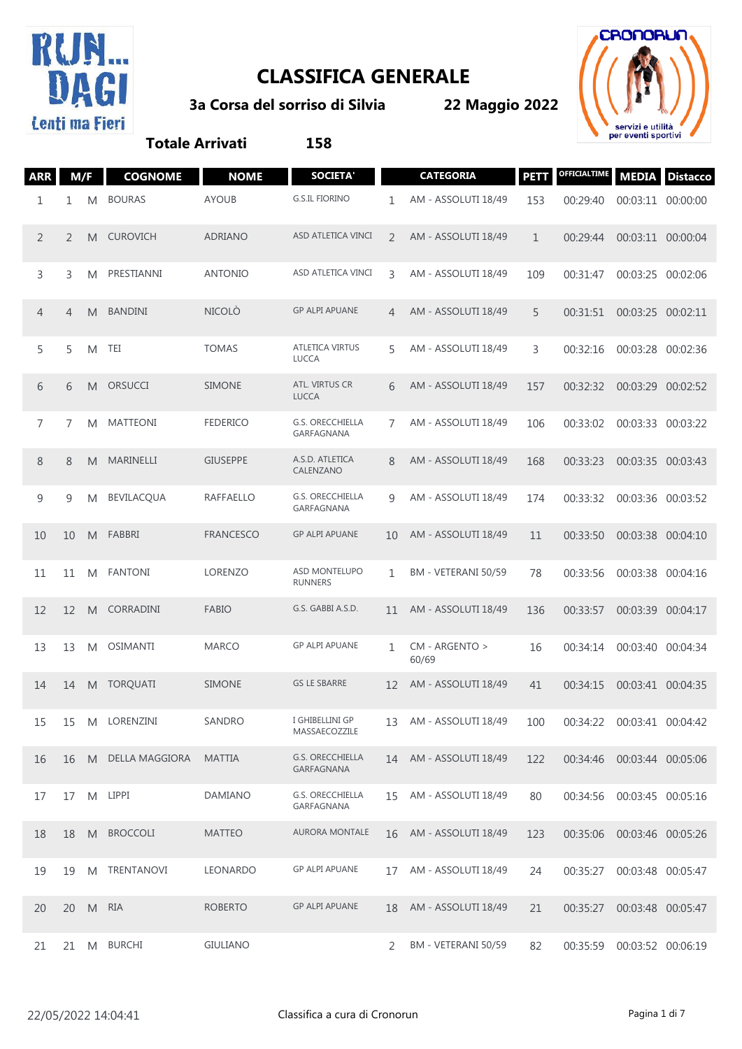

## **CLASSIFICA GENERALE**

**3a Corsa del sorriso di Silvia**

**22 Maggio 2022**



## **Totale Arrivati 158**

| <b>ARR</b>     | M/F            |   | <b>COGNOME</b>    | <b>NOME</b>      | <b>SOCIETA</b>                         |    | <b>CATEGORIA</b>        | <b>PETT</b>  | OFFICIALTIME               | <b>MEDIA</b>      | <b>Distacco</b> |
|----------------|----------------|---|-------------------|------------------|----------------------------------------|----|-------------------------|--------------|----------------------------|-------------------|-----------------|
| 1              | 1              | M | <b>BOURAS</b>     | <b>AYOUB</b>     | <b>G.S.IL FIORINO</b>                  | 1  | AM - ASSOLUTI 18/49     | 153          | 00:29:40                   | 00:03:11 00:00:00 |                 |
| 2              | 2              | M | <b>CUROVICH</b>   | <b>ADRIANO</b>   | ASD ATLETICA VINCI                     | 2  | AM - ASSOLUTI 18/49     | $\mathbf{1}$ | 00:29:44                   | 00:03:11 00:00:04 |                 |
| 3              | 3              | M | PRESTIANNI        | <b>ANTONIO</b>   | ASD ATLETICA VINCI                     | 3  | AM - ASSOLUTI 18/49     | 109          | 00:31:47                   | 00:03:25          | 00:02:06        |
| 4              | $\overline{4}$ | M | <b>BANDINI</b>    | <b>NICOLÒ</b>    | <b>GP ALPI APUANE</b>                  | 4  | AM - ASSOLUTI 18/49     | 5            | 00:31:51                   | 00:03:25 00:02:11 |                 |
| 5              | 5              | M | TEI               | <b>TOMAS</b>     | <b>ATLETICA VIRTUS</b><br><b>LUCCA</b> | 5  | AM - ASSOLUTI 18/49     | 3            | 00:32:16                   | 00:03:28 00:02:36 |                 |
| 6              | 6              | M | ORSUCCI           | <b>SIMONE</b>    | ATL. VIRTUS CR<br><b>LUCCA</b>         | 6  | AM - ASSOLUTI 18/49     | 157          | 00:32:32                   | 00:03:29 00:02:52 |                 |
| $\overline{7}$ | 7              | M | <b>MATTEONI</b>   | <b>FEDERICO</b>  | G.S. ORECCHIELLA<br>GARFAGNANA         | 7  | AM - ASSOLUTI 18/49     | 106          | 00:33:02                   | 00:03:33 00:03:22 |                 |
| 8              | 8              | M | MARINELLI         | <b>GIUSEPPE</b>  | A.S.D. ATLETICA<br>CALENZANO           | 8  | AM - ASSOLUTI 18/49     | 168          | 00:33:23                   | 00:03:35 00:03:43 |                 |
| 9              | 9              | M | <b>BEVILACQUA</b> | <b>RAFFAELLO</b> | G.S. ORECCHIELLA<br>GARFAGNANA         | 9  | AM - ASSOLUTI 18/49     | 174          | 00:33:32                   | 00:03:36          | 00:03:52        |
| 10             | 10             | M | FABBRI            | <b>FRANCESCO</b> | <b>GP ALPI APUANE</b>                  | 10 | AM - ASSOLUTI 18/49     | 11           | 00:33:50                   | 00:03:38 00:04:10 |                 |
| 11             | 11             | M | <b>FANTONI</b>    | LORENZO          | ASD MONTELUPO<br><b>RUNNERS</b>        | 1  | BM - VETERANI 50/59     | 78           | 00:33:56                   | 00:03:38          | 00:04:16        |
| 12             | 12             | M | CORRADINI         | <b>FABIO</b>     | G.S. GABBI A.S.D.                      | 11 | AM - ASSOLUTI 18/49     | 136          | 00:33:57                   | 00:03:39 00:04:17 |                 |
| 13             | 13             | M | <b>OSIMANTI</b>   | <b>MARCO</b>     | <b>GP ALPI APUANE</b>                  | 1  | CM - ARGENTO ><br>60/69 | 16           | 00:34:14                   | 00:03:40          | 00:04:34        |
| 14             | 14             | M | <b>TORQUATI</b>   | <b>SIMONE</b>    | <b>GS LE SBARRE</b>                    | 12 | AM - ASSOLUTI 18/49     | 41           | 00:34:15                   | 00:03:41 00:04:35 |                 |
| 15             | 15             | M | LORENZINI         | SANDRO           | I GHIBELLINI GP<br>MASSAECOZZILE       | 13 | AM - ASSOLUTI 18/49     | 100          | 00:34:22                   | 00:03:41 00:04:42 |                 |
| 16             | 16             |   | M DELLA MAGGIORA  | <b>MATTIA</b>    | <b>G.S. ORECCHIELLA</b><br>GARFAGNANA  |    | 14 AM - ASSOLUTI 18/49  | 122          | 00:34:46 00:03:44 00:05:06 |                   |                 |
| 17             | 17             |   | M LIPPI           | DAMIANO          | G.S. ORECCHIELLA<br>GARFAGNANA         | 15 | AM - ASSOLUTI 18/49     | 80           | 00:34:56                   | 00:03:45 00:05:16 |                 |
| 18             | 18             |   | M BROCCOLI        | <b>MATTEO</b>    | <b>AURORA MONTALE</b>                  | 16 | AM - ASSOLUTI 18/49     | 123          | 00:35:06                   | 00:03:46 00:05:26 |                 |
| 19             | 19             |   | M TRENTANOVI      | LEONARDO         | <b>GP ALPI APUANE</b>                  | 17 | AM - ASSOLUTI 18/49     | 24           | 00:35:27                   | 00:03:48 00:05:47 |                 |
| 20             | 20             | M | RIA               | <b>ROBERTO</b>   | <b>GP ALPI APUANE</b>                  | 18 | AM - ASSOLUTI 18/49     | 21           | 00:35:27                   | 00:03:48 00:05:47 |                 |
| 21             | 21             |   | M BURCHI          | <b>GIULIANO</b>  |                                        | 2  | BM - VETERANI 50/59     | 82           | 00:35:59                   | 00:03:52 00:06:19 |                 |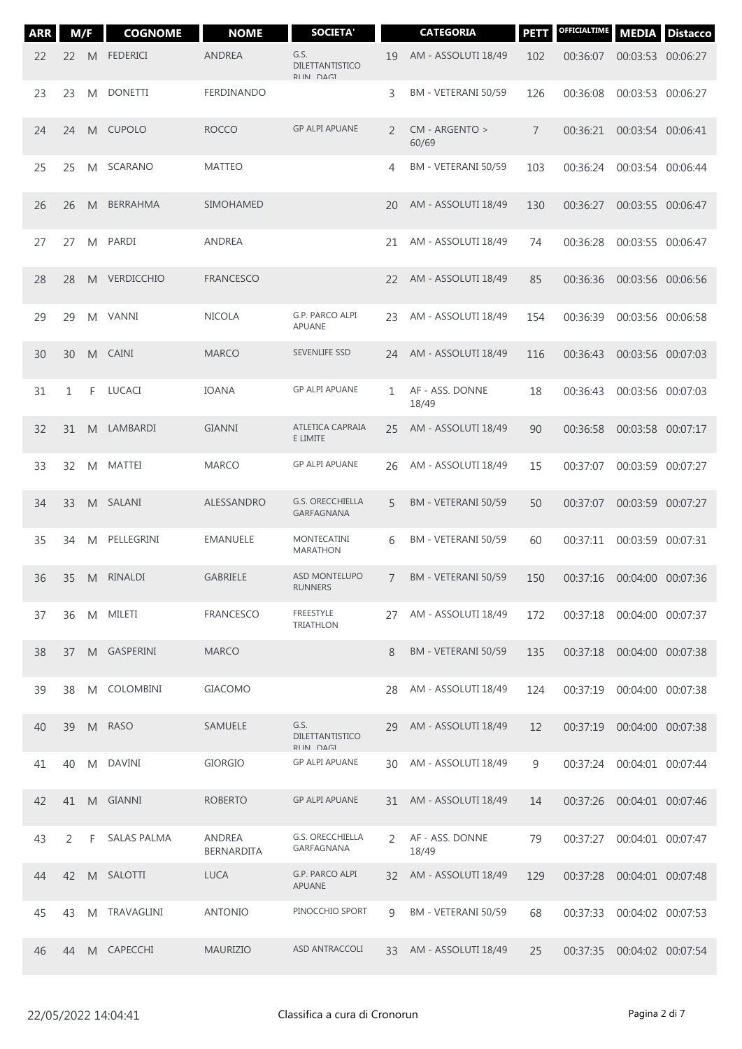| <b>ARR</b> | M/F |    | <b>COGNOME</b>     | <b>NOME</b>                 | <b>SOCIETA'</b>                        |               | <b>CATEGORIA</b>         | <b>PETT</b> | OFFICIALTIME | <b>MEDIA</b>               | <b>Distacco</b> |
|------------|-----|----|--------------------|-----------------------------|----------------------------------------|---------------|--------------------------|-------------|--------------|----------------------------|-----------------|
| 22         | 22  | M  | <b>FEDERICI</b>    | <b>ANDREA</b>               | G.S.<br>DILETTANTISTICO<br>RIIN DAGI   | 19            | AM - ASSOLUTI 18/49      | 102         | 00:36:07     | 00:03:53 00:06:27          |                 |
| 23         | 23  | M  | <b>DONETTI</b>     | FERDINANDO                  |                                        | 3             | BM - VETERANI 50/59      | 126         | 00:36:08     | 00:03:53 00:06:27          |                 |
| 24         | 24  | M  | <b>CUPOLO</b>      | <b>ROCCO</b>                | <b>GP ALPI APUANE</b>                  | 2             | CM - ARGENTO ><br>60/69  | 7           | 00:36:21     | 00:03:54 00:06:41          |                 |
| 25         | 25  | M  | <b>SCARANO</b>     | <b>MATTEO</b>               |                                        | 4             | BM - VETERANI 50/59      | 103         | 00:36:24     | 00:03:54 00:06:44          |                 |
| 26         | 26  | M  | <b>BERRAHMA</b>    | <b>SIMOHAMED</b>            |                                        | 20            | AM - ASSOLUTI 18/49      | 130         | 00:36:27     | 00:03:55 00:06:47          |                 |
| 27         | 27  | M  | PARDI              | ANDREA                      |                                        | 21            | AM - ASSOLUTI 18/49      | 74          | 00:36:28     | 00:03:55 00:06:47          |                 |
| 28         | 28  | M  | <b>VERDICCHIO</b>  | <b>FRANCESCO</b>            |                                        | 22            | AM - ASSOLUTI 18/49      | 85          | 00:36:36     | 00:03:56 00:06:56          |                 |
| 29         | 29  | M  | VANNI              | <b>NICOLA</b>               | G.P. PARCO ALPI<br>APUANE              | 23            | AM - ASSOLUTI 18/49      | 154         | 00:36:39     | 00:03:56 00:06:58          |                 |
| 30         | 30  | M  | <b>CAINI</b>       | <b>MARCO</b>                | SEVENLIFE SSD                          | 24            | AM - ASSOLUTI 18/49      | 116         | 00:36:43     | 00:03:56 00:07:03          |                 |
| 31         | 1   | F  | LUCACI             | <b>IOANA</b>                | <b>GP ALPI APUANE</b>                  | 1             | AF - ASS. DONNE<br>18/49 | 18          | 00:36:43     | 00:03:56 00:07:03          |                 |
| 32         | 31  | M  | LAMBARDI           | <b>GIANNI</b>               | ATLETICA CAPRAIA<br>E LIMITE           | 25            | AM - ASSOLUTI 18/49      | 90          | 00:36:58     | 00:03:58 00:07:17          |                 |
| 33         | 32  | M  | MATTEI             | <b>MARCO</b>                | <b>GP ALPI APUANE</b>                  | 26            | AM - ASSOLUTI 18/49      | 15          | 00:37:07     | 00:03:59 00:07:27          |                 |
| 34         | 33  | M  | SALANI             | ALESSANDRO                  | <b>G.S. ORECCHIELLA</b><br>GARFAGNANA  | 5             | BM - VETERANI 50/59      | 50          | 00:37:07     | 00:03:59 00:07:27          |                 |
| 35         | 34  | M  | PELLEGRINI         | <b>EMANUELE</b>             | MONTECATINI<br><b>MARATHON</b>         | 6             | BM - VETERANI 50/59      | 60          | 00:37:11     | 00:03:59 00:07:31          |                 |
| 36         | 35  | M  | <b>RINALDI</b>     | <b>GABRIELE</b>             | <b>ASD MONTELUPO</b><br><b>RUNNERS</b> | 7             | BM - VETERANI 50/59      | 150         | 00:37:16     | 00:04:00 00:07:36          |                 |
| 37         | 36  |    | M MILETI           | <b>FRANCESCO</b>            | FREESTYLE<br><b>TRIATHLON</b>          | 27            | AM - ASSOLUTI 18/49      | 172         | 00:37:18     | 00:04:00 00:07:37          |                 |
| 38         | 37  | M  | GASPERINI          | <b>MARCO</b>                |                                        | 8             | BM - VETERANI 50/59      | 135         | 00:37:18     | 00:04:00 00:07:38          |                 |
| 39         | 38  | M  | COLOMBINI          | <b>GIACOMO</b>              |                                        | 28            | AM - ASSOLUTI 18/49      | 124         | 00:37:19     | 00:04:00 00:07:38          |                 |
| 40         | 39  | M  | <b>RASO</b>        | SAMUELE                     | G.S.<br>DILETTANTISTICO<br>RIIN DAGI   | 29            | AM - ASSOLUTI 18/49      | 12          | 00:37:19     | 00:04:00 00:07:38          |                 |
| 41         | 40  | M  | <b>DAVINI</b>      | <b>GIORGIO</b>              | <b>GP ALPI APUANE</b>                  | 30            | AM - ASSOLUTI 18/49      | 9           | 00:37:24     | 00:04:01 00:07:44          |                 |
| 42         | 41  | M  | GIANNI             | <b>ROBERTO</b>              | <b>GP ALPI APUANE</b>                  | 31            | AM - ASSOLUTI 18/49      | 14          | 00:37:26     | 00:04:01 00:07:46          |                 |
| 43         | 2   | F  | <b>SALAS PALMA</b> | ANDREA<br><b>BERNARDITA</b> | G.S. ORECCHIELLA<br>GARFAGNANA         | $\mathcal{L}$ | AF - ASS. DONNE<br>18/49 | 79          | 00:37:27     | 00:04:01 00:07:47          |                 |
| 44         | 42  |    | M SALOTTI          | <b>LUCA</b>                 | G.P. PARCO ALPI<br><b>APUANE</b>       | 32            | AM - ASSOLUTI 18/49      | 129         | 00:37:28     | 00:04:01 00:07:48          |                 |
| 45         | 43  | M  | TRAVAGLINI         | <b>ANTONIO</b>              | PINOCCHIO SPORT                        | $\mathsf{Q}$  | BM - VETERANI 50/59      | 68          | 00:37:33     | 00:04:02 00:07:53          |                 |
| 46         | 44  | M. | CAPECCHI           | <b>MAURIZIO</b>             | ASD ANTRACCOLI                         | 33            | AM - ASSOLUTI 18/49      | 25          |              | 00:37:35 00:04:02 00:07:54 |                 |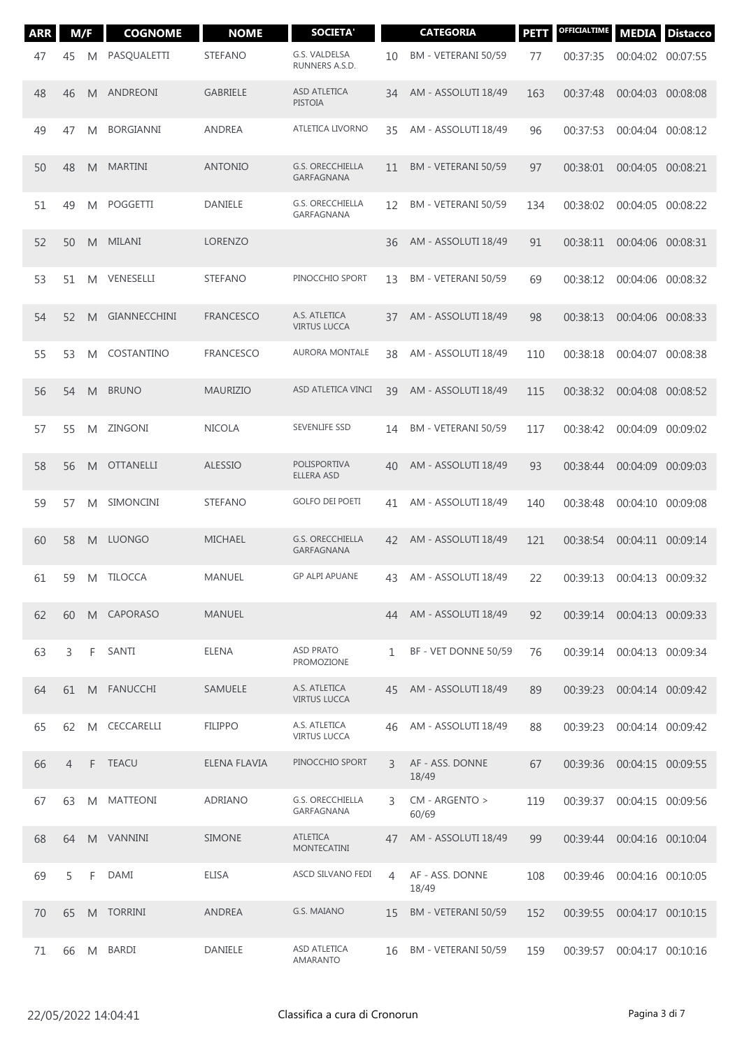| <b>ARR</b> | M/F            |    | <b>COGNOME</b>   | <b>NOME</b>      | <b>SOCIETA'</b>                       |                | <b>CATEGORIA</b>         | PETT | OFFICIALTIME | <b>MEDIA</b>      | <b>Distacco</b> |
|------------|----------------|----|------------------|------------------|---------------------------------------|----------------|--------------------------|------|--------------|-------------------|-----------------|
| 47         | 45             | M  | PASQUALETTI      | <b>STEFANO</b>   | G.S. VALDELSA<br>RUNNERS A.S.D.       | 10             | BM - VETERANI 50/59      | 77   | 00:37:35     | 00:04:02 00:07:55 |                 |
| 48         | 46             | M  | ANDREONI         | <b>GABRIELE</b>  | <b>ASD ATLETICA</b><br><b>PISTOIA</b> | 34             | AM - ASSOLUTI 18/49      | 163  | 00:37:48     | 00:04:03 00:08:08 |                 |
| 49         | 47             | M  | <b>BORGIANNI</b> | <b>ANDREA</b>    | ATLETICA LIVORNO                      | 35             | AM - ASSOLUTI 18/49      | 96   | 00:37:53     | 00:04:04 00:08:12 |                 |
| 50         | 48             | M  | <b>MARTINI</b>   | <b>ANTONIO</b>   | <b>G.S. ORECCHIELLA</b><br>GARFAGNANA | 11             | BM - VETERANI 50/59      | 97   | 00:38:01     | 00:04:05 00:08:21 |                 |
| 51         | 49             | M  | POGGETTI         | <b>DANIELE</b>   | G.S. ORECCHIELLA<br>GARFAGNANA        | 12             | BM - VETERANI 50/59      | 134  | 00:38:02     | 00:04:05 00:08:22 |                 |
| 52         | 50             | M  | MILANI           | <b>LORENZO</b>   |                                       | 36             | AM - ASSOLUTI 18/49      | 91   | 00:38:11     | 00:04:06 00:08:31 |                 |
| 53         | 51             | M  | VENESELLI        | <b>STEFANO</b>   | PINOCCHIO SPORT                       | 13             | BM - VETERANI 50/59      | 69   | 00:38:12     | 00:04:06 00:08:32 |                 |
| 54         | 52             | M  | GIANNECCHINI     | <b>FRANCESCO</b> | A.S. ATLETICA<br><b>VIRTUS LUCCA</b>  | 37             | AM - ASSOLUTI 18/49      | 98   | 00:38:13     | 00:04:06 00:08:33 |                 |
| 55         | 53             | M  | COSTANTINO       | <b>FRANCESCO</b> | <b>AURORA MONTALE</b>                 | 38             | AM - ASSOLUTI 18/49      | 110  | 00:38:18     | 00:04:07 00:08:38 |                 |
| 56         | 54             | M  | <b>BRUNO</b>     | <b>MAURIZIO</b>  | ASD ATLETICA VINCI                    | 39             | AM - ASSOLUTI 18/49      | 115  | 00:38:32     | 00:04:08 00:08:52 |                 |
| 57         | 55             | M  | ZINGONI          | <b>NICOLA</b>    | SEVENLIFE SSD                         | 14             | BM - VETERANI 50/59      | 117  | 00:38:42     | 00:04:09          | 00:09:02        |
| 58         | 56             | M  | <b>OTTANELLI</b> | <b>ALESSIO</b>   | POLISPORTIVA<br>ELLERA ASD            | 40             | AM - ASSOLUTI 18/49      | 93   | 00:38:44     | 00:04:09 00:09:03 |                 |
| 59         | 57             | M  | <b>SIMONCINI</b> | <b>STEFANO</b>   | <b>GOLFO DEI POETI</b>                | 41             | AM - ASSOLUTI 18/49      | 140  | 00:38:48     | 00:04:10 00:09:08 |                 |
| 60         | 58             | M  | LUONGO           | <b>MICHAEL</b>   | <b>G.S. ORECCHIELLA</b><br>GARFAGNANA | 42             | AM - ASSOLUTI 18/49      | 121  | 00:38:54     | 00:04:11 00:09:14 |                 |
| 61         | 59             | M  | <b>TILOCCA</b>   | <b>MANUEL</b>    | <b>GP ALPI APUANE</b>                 | 43             | AM - ASSOLUTI 18/49      | 22   | 00:39:13     | 00:04:13 00:09:32 |                 |
| 62         | 60             |    | M CAPORASO       | <b>MANUEL</b>    |                                       | 44             | AM - ASSOLUTI 18/49      | 92   | 00:39:14     | 00:04:13 00:09:33 |                 |
| 63         | 3              | F  | SANTI            | ELENA            | <b>ASD PRATO</b><br>PROMOZIONE        | $\mathbf{1}$   | BF - VET DONNE 50/59     | 76   | 00:39:14     | 00:04:13 00:09:34 |                 |
| 64         | 61             |    | M FANUCCHI       | SAMUELE          | A.S. ATLETICA<br><b>VIRTUS LUCCA</b>  | 45             | AM - ASSOLUTI 18/49      | 89   | 00:39:23     | 00:04:14 00:09:42 |                 |
| 65         | 62             | M  | CECCARELLI       | <b>FILIPPO</b>   | A.S. ATLETICA<br><b>VIRTUS LUCCA</b>  | 46             | AM - ASSOLUTI 18/49      | 88   | 00:39:23     | 00:04:14 00:09:42 |                 |
| 66         | $\overline{4}$ | F. | <b>TEACU</b>     | ELENA FLAVIA     | PINOCCHIO SPORT                       | 3              | AF - ASS. DONNE<br>18/49 | 67   | 00:39:36     | 00:04:15 00:09:55 |                 |
| 67         | 63             | M  | <b>MATTEONI</b>  | <b>ADRIANO</b>   | <b>G.S. ORECCHIELLA</b><br>GARFAGNANA | 3              | CM - ARGENTO ><br>60/69  | 119  | 00:39:37     | 00:04:15 00:09:56 |                 |
| 68         | 64             |    | M VANNINI        | <b>SIMONE</b>    | <b>ATLETICA</b><br><b>MONTECATINI</b> | 47             | AM - ASSOLUTI 18/49      | 99   | 00:39:44     | 00:04:16 00:10:04 |                 |
| 69         | 5              | F  | <b>DAMI</b>      | <b>ELISA</b>     | ASCD SILVANO FEDI                     | $\overline{4}$ | AF - ASS. DONNE<br>18/49 | 108  | 00:39:46     | 00:04:16 00:10:05 |                 |
| 70         | 65             | M  | <b>TORRINI</b>   | <b>ANDREA</b>    | G.S. MAIANO                           | 15             | BM - VETERANI 50/59      | 152  | 00:39:55     | 00:04:17 00:10:15 |                 |
| 71         | 66             | M  | <b>BARDI</b>     | DANIELE          | ASD ATLETICA<br>AMARANTO              | 16             | BM - VETERANI 50/59      | 159  | 00:39:57     | 00:04:17 00:10:16 |                 |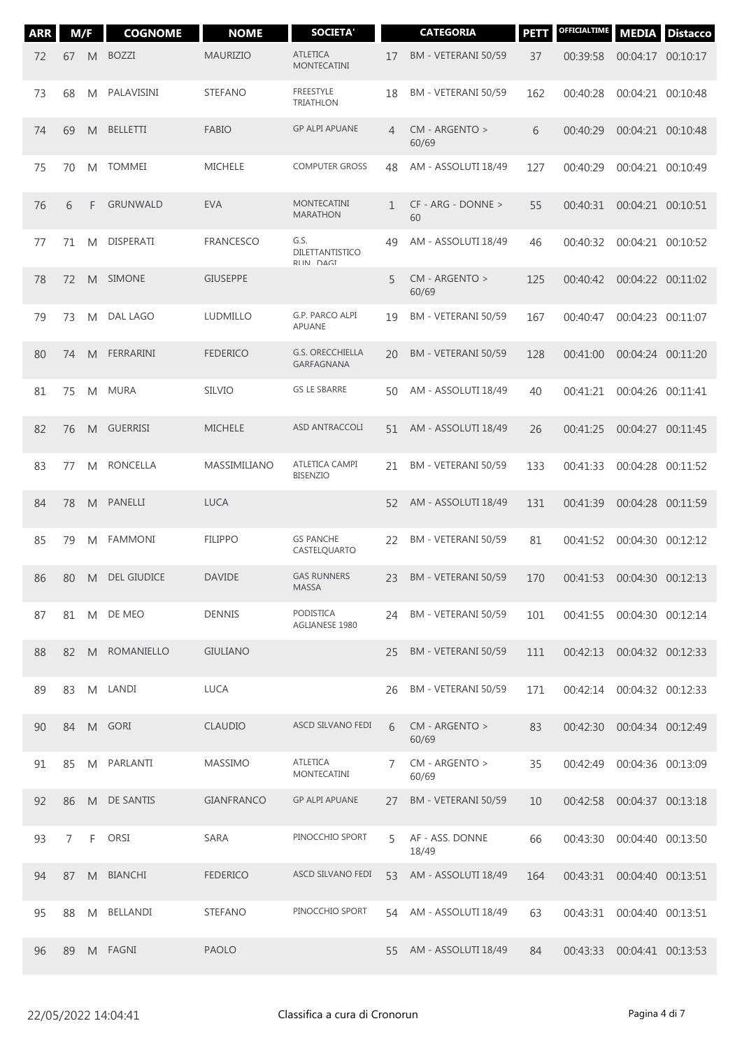| <b>ARR</b> | M/F            |    | <b>COGNOME</b>     | <b>NOME</b>       | <b>SOCIETA'</b>                       |    | <b>CATEGORIA</b>         | <b>PETT</b> | OFFICIALTIME                 | <b>MEDIA</b>      | <b>Distacco</b>   |
|------------|----------------|----|--------------------|-------------------|---------------------------------------|----|--------------------------|-------------|------------------------------|-------------------|-------------------|
| 72         | 67             | M  | <b>BOZZI</b>       | <b>MAURIZIO</b>   | <b>ATLETICA</b><br><b>MONTECATINI</b> | 17 | BM - VETERANI 50/59      | 37          | 00:39:58                     | 00:04:17 00:10:17 |                   |
| 73         | 68             | M  | PALAVISINI         | <b>STEFANO</b>    | <b>FREESTYLE</b><br><b>TRIATHLON</b>  | 18 | BM - VETERANI 50/59      | 162         | 00:40:28                     | 00:04:21 00:10:48 |                   |
| 74         | 69             | M  | <b>BELLETTI</b>    | <b>FABIO</b>      | <b>GP ALPI APUANE</b>                 | 4  | CM - ARGENTO ><br>60/69  | 6           | 00:40:29                     | 00:04:21 00:10:48 |                   |
| 75         | 70             | M  | <b>TOMMEI</b>      | <b>MICHELE</b>    | <b>COMPUTER GROSS</b>                 | 48 | AM - ASSOLUTI 18/49      | 127         | 00:40:29                     |                   | 00:04:21 00:10:49 |
| 76         | 6              | F  | <b>GRUNWALD</b>    | <b>EVA</b>        | <b>MONTECATINI</b><br><b>MARATHON</b> | 1  | CF - ARG - DONNE ><br>60 | 55          | 00:40:31                     | 00:04:21 00:10:51 |                   |
| 77         | 71             | M  | <b>DISPERATI</b>   | <b>FRANCESCO</b>  | G.S.<br>DILETTANTISTICO<br>RIIN DAGI  | 49 | AM - ASSOLUTI 18/49      | 46          | 00:40:32                     |                   | 00:04:21 00:10:52 |
| 78         | 72             | M  | <b>SIMONE</b>      | <b>GIUSEPPE</b>   |                                       | 5  | CM - ARGENTO ><br>60/69  | 125         | 00:40:42                     | 00:04:22 00:11:02 |                   |
| 79         | 73             | M  | <b>DAL LAGO</b>    | LUDMILLO          | G.P. PARCO ALPI<br>APUANE             | 19 | BM - VETERANI 50/59      | 167         | 00:40:47                     |                   | 00:04:23 00:11:07 |
| 80         | 74             | M  | FERRARINI          | <b>FEDERICO</b>   | <b>G.S. ORECCHIELLA</b><br>GARFAGNANA | 20 | BM - VETERANI 50/59      | 128         | 00:41:00                     | 00:04:24 00:11:20 |                   |
| 81         | 75             | M  | <b>MURA</b>        | <b>SILVIO</b>     | <b>GS LE SBARRE</b>                   | 50 | AM - ASSOLUTI 18/49      | 40          | 00:41:21                     | 00:04:26 00:11:41 |                   |
| 82         | 76             | M  | <b>GUERRISI</b>    | <b>MICHELE</b>    | ASD ANTRACCOLI                        | 51 | AM - ASSOLUTI 18/49      | 26          | 00:41:25                     | 00:04:27 00:11:45 |                   |
| 83         | 77             | M  | <b>RONCELLA</b>    | MASSIMILIANO      | ATLETICA CAMPI<br><b>BISENZIO</b>     | 21 | BM - VETERANI 50/59      | 133         | 00:41:33                     | 00:04:28 00:11:52 |                   |
| 84         | 78             | M  | PANELLI            | <b>LUCA</b>       |                                       | 52 | AM - ASSOLUTI 18/49      | 131         | 00:41:39                     | 00:04:28 00:11:59 |                   |
| 85         | 79             | M  | <b>FAMMONI</b>     | <b>FILIPPO</b>    | <b>GS PANCHE</b><br>CASTELQUARTO      | 22 | BM - VETERANI 50/59      | 81          | 00:41:52                     | 00:04:30 00:12:12 |                   |
| 86         | 80             | M  | <b>DEL GIUDICE</b> | <b>DAVIDE</b>     | <b>GAS RUNNERS</b><br>MASSA           | 23 | BM - VETERANI 50/59      | 170         | 00:41:53                     | 00:04:30 00:12:13 |                   |
| 87         |                |    | 81 M DE MEO        | <b>DENNIS</b>     | PODISTICA<br>AGLIANESE 1980           | 24 | BM - VETERANI 50/59      | 101         | 00:41:55 00:04:30 00:12:14   |                   |                   |
| 88         | 82             | M  | ROMANIELLO         | <b>GIULIANO</b>   |                                       | 25 | BM - VETERANI 50/59      | 111         | 00:42:13                     | 00:04:32 00:12:33 |                   |
| 89         | 83             |    | M LANDI            | <b>LUCA</b>       |                                       | 26 | BM - VETERANI 50/59      | 171         | 00:42:14                     | 00:04:32 00:12:33 |                   |
| 90         | 84             |    | M GORI             | <b>CLAUDIO</b>    | ASCD SILVANO FEDI                     | 6  | CM - ARGENTO ><br>60/69  | 83          | 00:42:30                     | 00:04:34 00:12:49 |                   |
| 91         | 85             | M  | PARLANTI           | <b>MASSIMO</b>    | <b>ATLETICA</b><br>MONTECATINI        | 7  | CM - ARGENTO ><br>60/69  | 35          | 00:42:49                     | 00:04:36 00:13:09 |                   |
| 92         | 86             |    | M DE SANTIS        | <b>GIANFRANCO</b> | <b>GP ALPI APUANE</b>                 | 27 | BM - VETERANI 50/59      | 10          | 00:42:58                     | 00:04:37 00:13:18 |                   |
| 93         | $\overline{7}$ | F. | ORSI               | SARA              | PINOCCHIO SPORT                       | 5  | AF - ASS. DONNE<br>18/49 | 66          | 00:43:30                     | 00:04:40 00:13:50 |                   |
| 94         | 87             |    | M BIANCHI          | <b>FEDERICO</b>   | ASCD SILVANO FEDI                     | 53 | AM - ASSOLUTI 18/49      | 164         | 00:43:31                     | 00:04:40 00:13:51 |                   |
| 95         | 88             | M  | <b>BELLANDI</b>    | <b>STEFANO</b>    | PINOCCHIO SPORT                       | 54 | AM - ASSOLUTI 18/49      | 63          | 00:43:31                     | 00:04:40 00:13:51 |                   |
| 96         | 89             |    | M FAGNI            | <b>PAOLO</b>      |                                       | 55 | AM - ASSOLUTI 18/49      | 84          | 00:43:33  00:04:41  00:13:53 |                   |                   |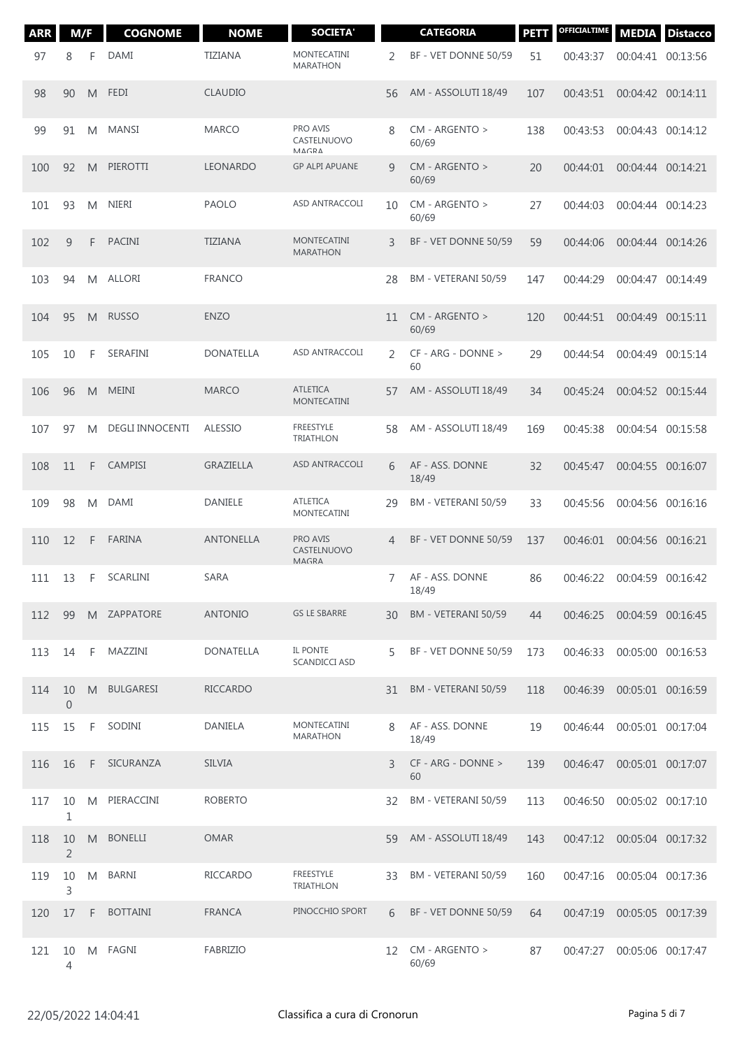| <b>ARR</b> | M/F                    |    | <b>COGNOME</b>         | <b>NOME</b>      | <b>SOCIETA'</b>                       |    | <b>CATEGORIA</b>         | <b>PETT</b> | OFFICIALTIME | <b>MEDIA</b>               | <b>Distacco</b>   |
|------------|------------------------|----|------------------------|------------------|---------------------------------------|----|--------------------------|-------------|--------------|----------------------------|-------------------|
| 97         | 8                      | F  | <b>DAMI</b>            | <b>TIZIANA</b>   | <b>MONTECATINI</b><br><b>MARATHON</b> | 2  | BF - VET DONNE 50/59     | 51          | 00:43:37     | 00:04:41 00:13:56          |                   |
| 98         | 90                     | M  | <b>FEDI</b>            | <b>CLAUDIO</b>   |                                       | 56 | AM - ASSOLUTI 18/49      | 107         | 00:43:51     | 00:04:42 00:14:11          |                   |
| 99         | 91                     | M  | MANSI                  | <b>MARCO</b>     | PRO AVIS<br>CASTELNUOVO<br>MAGRA      | 8  | CM - ARGENTO ><br>60/69  | 138         | 00:43:53     | 00:04:43 00:14:12          |                   |
| 100        | 92                     | M  | PIEROTTI               | <b>LEONARDO</b>  | <b>GP ALPI APUANE</b>                 | 9  | CM - ARGENTO ><br>60/69  | 20          | 00:44:01     |                            | 00:04:44 00:14:21 |
| 101        | 93                     | M  | <b>NIERI</b>           | <b>PAOLO</b>     | ASD ANTRACCOLI                        | 10 | CM - ARGENTO ><br>60/69  | 27          | 00:44:03     |                            | 00:04:44 00:14:23 |
| 102        | 9                      | F  | <b>PACINI</b>          | <b>TIZIANA</b>   | <b>MONTECATINI</b><br><b>MARATHON</b> | 3  | BF - VET DONNE 50/59     | 59          | 00:44:06     |                            | 00:04:44 00:14:26 |
| 103        | 94                     | M  | ALLORI                 | <b>FRANCO</b>    |                                       | 28 | BM - VETERANI 50/59      | 147         | 00:44:29     | 00:04:47 00:14:49          |                   |
| 104        | 95                     | M  | <b>RUSSO</b>           | <b>ENZO</b>      |                                       | 11 | CM - ARGENTO ><br>60/69  | 120         | 00:44:51     |                            | 00:04:49 00:15:11 |
| 105        | 10                     | F  | SERAFINI               | <b>DONATELLA</b> | ASD ANTRACCOLI                        | 2  | CF - ARG - DONNE ><br>60 | 29          | 00:44:54     |                            | 00:04:49 00:15:14 |
| 106        | 96                     | M  | <b>MEINI</b>           | <b>MARCO</b>     | <b>ATLETICA</b><br><b>MONTECATINI</b> | 57 | AM - ASSOLUTI 18/49      | 34          | 00:45:24     | 00:04:52 00:15:44          |                   |
| 107        | 97                     | M  | <b>DEGLI INNOCENTI</b> | <b>ALESSIO</b>   | <b>FREESTYLE</b><br><b>TRIATHLON</b>  | 58 | AM - ASSOLUTI 18/49      | 169         | 00:45:38     | 00:04:54 00:15:58          |                   |
| 108        | 11                     | F  | <b>CAMPISI</b>         | <b>GRAZIELLA</b> | ASD ANTRACCOLI                        | 6  | AF - ASS. DONNE<br>18/49 | 32          | 00:45:47     |                            | 00:04:55 00:16:07 |
| 109        | 98                     | M  | DAMI                   | DANIELE          | <b>ATLETICA</b><br><b>MONTECATINI</b> | 29 | BM - VETERANI 50/59      | 33          | 00:45:56     | 00:04:56 00:16:16          |                   |
| 110        | 12                     | F  | <b>FARINA</b>          | ANTONELLA        | PRO AVIS<br>CASTELNUOVO<br>MAGRA      | 4  | BF - VET DONNE 50/59     | 137         | 00:46:01     | 00:04:56 00:16:21          |                   |
| 111        | 13                     | F  | <b>SCARLINI</b>        | <b>SARA</b>      |                                       | 7  | AF - ASS. DONNE<br>18/49 | 86          | 00:46:22     | 00:04:59 00:16:42          |                   |
| 112        | 99                     |    | M ZAPPATORE            | <b>ANTONIO</b>   | <b>GS LE SBARRE</b>                   | 30 | BM - VETERANI 50/59      | 44          |              | 00:46:25 00:04:59 00:16:45 |                   |
| 113        | 14                     | F  | MAZZINI                | DONATELLA        | IL PONTE<br><b>SCANDICCI ASD</b>      | 5  | BF - VET DONNE 50/59     | 173         | 00:46:33     | 00:05:00 00:16:53          |                   |
| 114        | 10<br>$\boldsymbol{0}$ | M  | <b>BULGARESI</b>       | <b>RICCARDO</b>  |                                       | 31 | BM - VETERANI 50/59      | 118         | 00:46:39     | 00:05:01 00:16:59          |                   |
| 115        | 15                     | F  | SODINI                 | DANIELA          | MONTECATINI<br><b>MARATHON</b>        | 8  | AF - ASS. DONNE<br>18/49 | 19          | 00:46:44     | 00:05:01 00:17:04          |                   |
| 116        | 16                     | F. | SICURANZA              | <b>SILVIA</b>    |                                       | 3  | CF - ARG - DONNE ><br>60 | 139         | 00:46:47     | 00:05:01 00:17:07          |                   |
| 117        | 10<br>1                | M  | PIERACCINI             | <b>ROBERTO</b>   |                                       | 32 | BM - VETERANI 50/59      | 113         | 00:46:50     | 00:05:02 00:17:10          |                   |
| 118        | 10<br>$\overline{2}$   | M  | <b>BONELLI</b>         | <b>OMAR</b>      |                                       | 59 | AM - ASSOLUTI 18/49      | 143         | 00:47:12     | 00:05:04 00:17:32          |                   |
| 119        | 10<br>3                | M  | BARNI                  | <b>RICCARDO</b>  | FREESTYLE<br><b>TRIATHLON</b>         | 33 | BM - VETERANI 50/59      | 160         | 00:47:16     | 00:05:04 00:17:36          |                   |
| 120        | 17                     | F. | <b>BOTTAINI</b>        | <b>FRANCA</b>    | PINOCCHIO SPORT                       | 6  | BF - VET DONNE 50/59     | 64          | 00:47:19     | 00:05:05 00:17:39          |                   |
| 121        | 10<br>4                |    | M FAGNI                | FABRIZIO         |                                       | 12 | CM - ARGENTO ><br>60/69  | 87          | 00:47:27     | 00:05:06 00:17:47          |                   |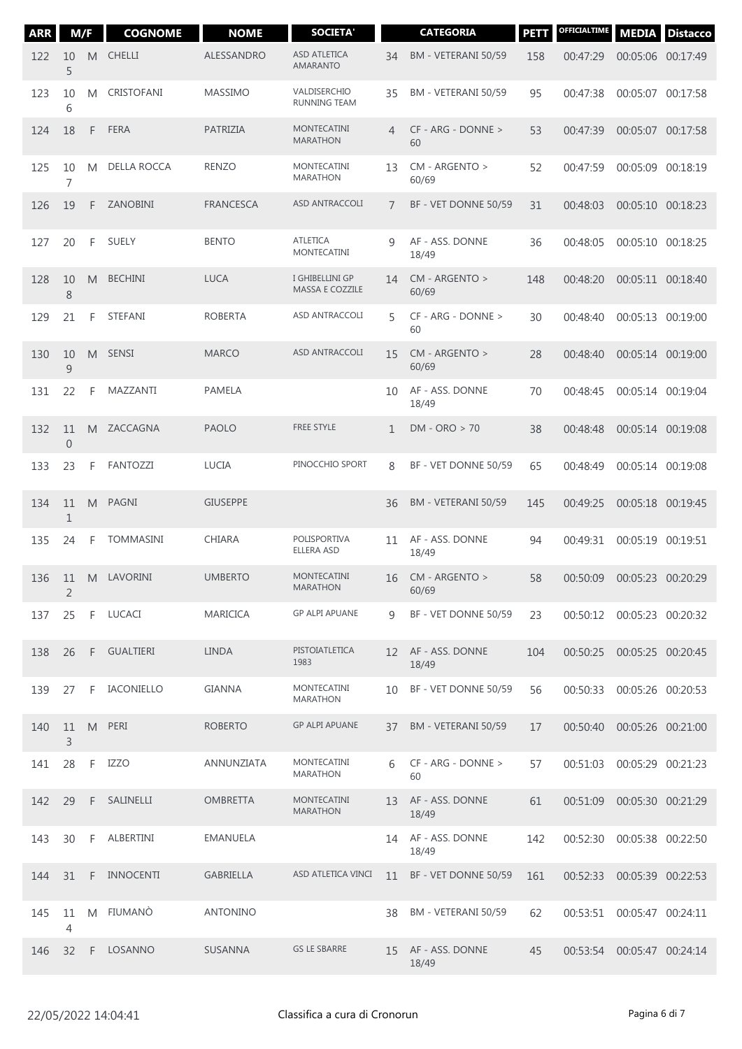| <b>ARR</b> | M/F                  |    | <b>COGNOME</b>    | <b>NOME</b>      | <b>SOCIETA'</b>                        |                 | <b>CATEGORIA</b>         | <b>PETT</b> | OFFICIALTIME               | <b>MEDIA</b>      | <b>Distacco</b> |
|------------|----------------------|----|-------------------|------------------|----------------------------------------|-----------------|--------------------------|-------------|----------------------------|-------------------|-----------------|
| 122        | 10<br>5              | M  | <b>CHELLI</b>     | ALESSANDRO       | <b>ASD ATLETICA</b><br><b>AMARANTO</b> | 34              | BM - VETERANI 50/59      | 158         | 00:47:29                   | 00:05:06 00:17:49 |                 |
| 123        | 10<br>6              | M  | <b>CRISTOFANI</b> | <b>MASSIMO</b>   | VALDISERCHIO<br><b>RUNNING TEAM</b>    | 35              | BM - VETERANI 50/59      | 95          | 00:47:38                   | 00:05:07 00:17:58 |                 |
| 124        | 18                   | F  | <b>FERA</b>       | PATRIZIA         | <b>MONTECATINI</b><br><b>MARATHON</b>  | 4               | CF - ARG - DONNE ><br>60 | 53          | 00:47:39                   | 00:05:07 00:17:58 |                 |
| 125        | 10<br>$\overline{7}$ | M  | DELLA ROCCA       | <b>RENZO</b>     | MONTECATINI<br><b>MARATHON</b>         | 13              | CM - ARGENTO ><br>60/69  | 52          | 00:47:59                   | 00:05:09 00:18:19 |                 |
| 126        | 19                   | F  | ZANOBINI          | <b>FRANCESCA</b> | ASD ANTRACCOLI                         | $\overline{7}$  | BF - VET DONNE 50/59     | 31          | 00:48:03                   | 00:05:10 00:18:23 |                 |
| 127        | 20                   | F  | <b>SUELY</b>      | <b>BENTO</b>     | <b>ATLETICA</b><br><b>MONTECATINI</b>  | 9               | AF - ASS. DONNE<br>18/49 | 36          | 00:48:05                   | 00:05:10 00:18:25 |                 |
| 128        | 10<br>8              | M  | <b>BECHINI</b>    | <b>LUCA</b>      | I GHIBELLINI GP<br>MASSA E COZZILE     | 14              | CM - ARGENTO ><br>60/69  | 148         | 00:48:20                   | 00:05:11 00:18:40 |                 |
| 129        | 21                   | F  | STEFANI           | <b>ROBERTA</b>   | ASD ANTRACCOLI                         | 5               | CF - ARG - DONNE ><br>60 | 30          | 00:48:40                   | 00:05:13 00:19:00 |                 |
| 130        | 10<br>$\overline{9}$ | M  | <b>SENSI</b>      | <b>MARCO</b>     | <b>ASD ANTRACCOLI</b>                  | 15              | CM - ARGENTO ><br>60/69  | 28          | 00:48:40                   | 00:05:14 00:19:00 |                 |
| 131        | 22                   | F  | MAZZANTI          | <b>PAMELA</b>    |                                        | 10              | AF - ASS. DONNE<br>18/49 | 70          | 00:48:45                   | 00:05:14 00:19:04 |                 |
| 132        | 11<br>$\mathbf 0$    | M  | ZACCAGNA          | <b>PAOLO</b>     | <b>FREE STYLE</b>                      | $\mathbf{1}$    | $DM - ORO > 70$          | 38          | 00:48:48                   | 00:05:14 00:19:08 |                 |
| 133        | 23                   | F  | <b>FANTOZZI</b>   | <b>LUCIA</b>     | PINOCCHIO SPORT                        | 8               | BF - VET DONNE 50/59     | 65          | 00:48:49                   | 00:05:14 00:19:08 |                 |
| 134        | 11<br>1              | M  | PAGNI             | <b>GIUSEPPE</b>  |                                        | 36              | BM - VETERANI 50/59      | 145         | 00:49:25                   | 00:05:18 00:19:45 |                 |
| 135        | 24                   | F  | <b>TOMMASINI</b>  | <b>CHIARA</b>    | POLISPORTIVA<br><b>ELLERA ASD</b>      | 11              | AF - ASS. DONNE<br>18/49 | 94          | 00:49:31                   | 00:05:19 00:19:51 |                 |
| 136        | 11<br>$\overline{2}$ | M  | LAVORINI          | <b>UMBERTO</b>   | <b>MONTECATINI</b><br><b>MARATHON</b>  | 16              | CM - ARGENTO ><br>60/69  | 58          | 00:50:09                   | 00:05:23 00:20:29 |                 |
| 137        | 25                   | F. | LUCACI            | <b>MARICICA</b>  | <b>GP ALPI APUANE</b>                  | 9               | BF - VET DONNE 50/59     | 23          | 00:50:12 00:05:23 00:20:32 |                   |                 |
| 138        | 26                   |    | F GUALTIERI       | LINDA            | PISTOIATLETICA<br>1983                 | 12 <sup>1</sup> | AF - ASS. DONNE<br>18/49 | 104         | 00:50:25                   | 00:05:25 00:20:45 |                 |
| 139        | 27                   | F  | IACONIELLO        | <b>GIANNA</b>    | MONTECATINI<br>MARATHON                | 10              | BF - VET DONNE 50/59     | 56          | 00:50:33                   | 00:05:26 00:20:53 |                 |
| 140        | 11<br>3              |    | M PERI            | <b>ROBERTO</b>   | <b>GP ALPI APUANE</b>                  | 37              | BM - VETERANI 50/59      | 17          | 00:50:40                   | 00:05:26 00:21:00 |                 |
| 141        | 28                   | F. | IZZO              | ANNUNZIATA       | MONTECATINI<br><b>MARATHON</b>         | 6               | CF - ARG - DONNE ><br>60 | 57          | 00:51:03                   | 00:05:29 00:21:23 |                 |
| 142        | 29                   | F. | SALINELLI         | <b>OMBRETTA</b>  | MONTECATINI<br><b>MARATHON</b>         | 13              | AF - ASS. DONNE<br>18/49 | 61          | 00:51:09                   | 00:05:30 00:21:29 |                 |
| 143        | 30                   | F. | ALBERTINI         | <b>EMANUELA</b>  |                                        | 14              | AF - ASS. DONNE<br>18/49 | 142         | 00:52:30                   | 00:05:38 00:22:50 |                 |
| 144        | 31                   | F. | INNOCENTI         | <b>GABRIELLA</b> | ASD ATLETICA VINCI                     | 11              | BF - VET DONNE 50/59     | 161         | 00:52:33                   | 00:05:39 00:22:53 |                 |
| 145        | 11<br>4              | M  | FIUMANÒ           | <b>ANTONINO</b>  |                                        | 38              | BM - VETERANI 50/59      | 62          | 00:53:51 00:05:47 00:24:11 |                   |                 |
| 146        | 32                   | F. | LOSANNO           | SUSANNA          | <b>GS LE SBARRE</b>                    | 15              | AF - ASS. DONNE<br>18/49 | 45          | 00:53:54 00:05:47 00:24:14 |                   |                 |